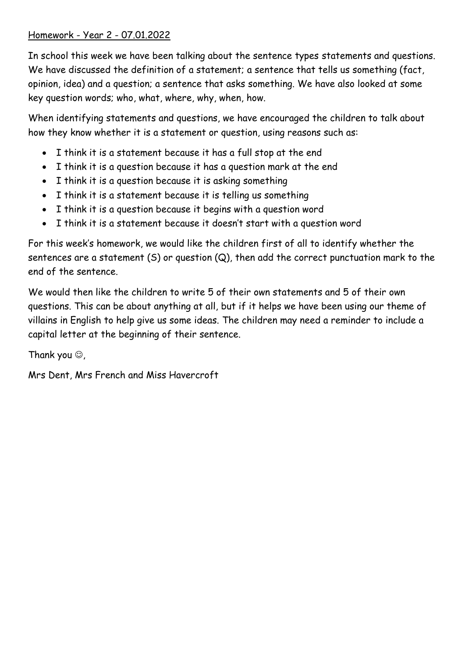## Homework - Year 2 - 07.01.2022

In school this week we have been talking about the sentence types statements and questions. We have discussed the definition of a statement; a sentence that tells us something (fact, opinion, idea) and a question; a sentence that asks something. We have also looked at some key question words; who, what, where, why, when, how.

When identifying statements and questions, we have encouraged the children to talk about how they know whether it is a statement or question, using reasons such as:

- I think it is a statement because it has a full stop at the end
- I think it is a question because it has a question mark at the end
- I think it is a question because it is asking something
- I think it is a statement because it is telling us something
- I think it is a question because it begins with a question word
- I think it is a statement because it doesn't start with a question word

For this week's homework, we would like the children first of all to identify whether the sentences are a statement  $(S)$  or question  $(Q)$ , then add the correct punctuation mark to the end of the sentence.

We would then like the children to write 5 of their own statements and 5 of their own questions. This can be about anything at all, but if it helps we have been using our theme of villains in English to help give us some ideas. The children may need a reminder to include a capital letter at the beginning of their sentence.

Thank you  $\odot$ ,

Mrs Dent, Mrs French and Miss Havercroft